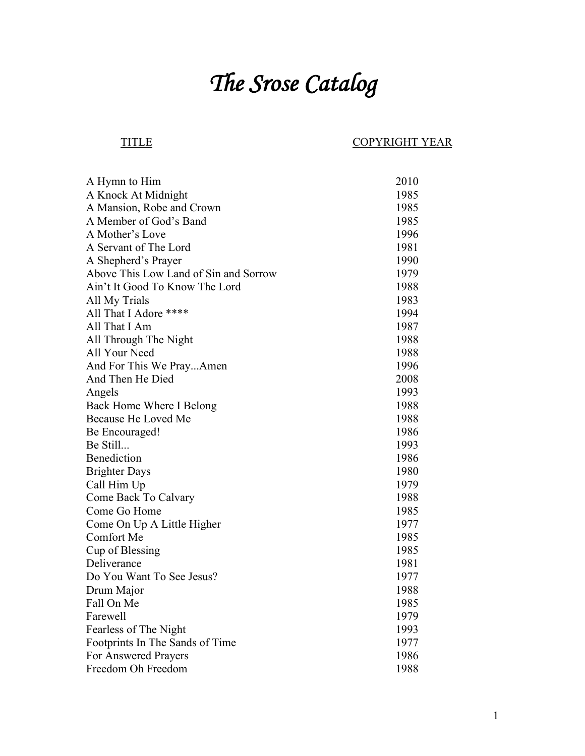## *The Srose Catalog*

## TITLE COPYRIGHT YEAR

| A Hymn to Him                         | 2010 |
|---------------------------------------|------|
| A Knock At Midnight                   | 1985 |
| A Mansion, Robe and Crown             | 1985 |
| A Member of God's Band                | 1985 |
| A Mother's Love                       | 1996 |
| A Servant of The Lord                 | 1981 |
| A Shepherd's Prayer                   | 1990 |
| Above This Low Land of Sin and Sorrow | 1979 |
| Ain't It Good To Know The Lord        | 1988 |
| All My Trials                         | 1983 |
| All That I Adore ****                 | 1994 |
| All That I Am                         | 1987 |
| All Through The Night                 | 1988 |
| All Your Need                         | 1988 |
| And For This We PrayAmen              | 1996 |
| And Then He Died                      | 2008 |
| Angels                                | 1993 |
| Back Home Where I Belong              | 1988 |
| Because He Loved Me                   | 1988 |
| Be Encouraged!                        | 1986 |
| Be Still                              | 1993 |
| Benediction                           | 1986 |
| <b>Brighter Days</b>                  | 1980 |
| Call Him Up                           | 1979 |
| Come Back To Calvary                  | 1988 |
| Come Go Home                          | 1985 |
| Come On Up A Little Higher            | 1977 |
| Comfort Me                            | 1985 |
| Cup of Blessing                       | 1985 |
| Deliverance                           | 1981 |
| Do You Want To See Jesus?             | 1977 |
| Drum Major                            | 1988 |
| Fall On Me                            | 1985 |
| Farewell                              | 1979 |
| Fearless of The Night                 | 1993 |
| Footprints In The Sands of Time       | 1977 |
| For Answered Prayers                  | 1986 |
| Freedom Oh Freedom                    | 1988 |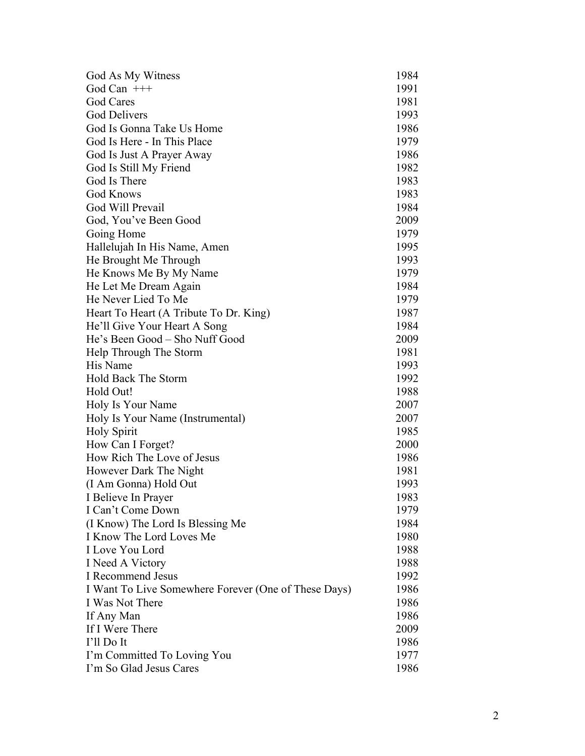| God As My Witness                                    | 1984 |
|------------------------------------------------------|------|
| God Can $++$                                         | 1991 |
| God Cares                                            | 1981 |
| <b>God Delivers</b>                                  | 1993 |
| God Is Gonna Take Us Home                            | 1986 |
| God Is Here - In This Place                          | 1979 |
| God Is Just A Prayer Away                            | 1986 |
| God Is Still My Friend                               | 1982 |
| God Is There                                         | 1983 |
| <b>God Knows</b>                                     | 1983 |
| God Will Prevail                                     | 1984 |
| God, You've Been Good                                | 2009 |
| Going Home                                           | 1979 |
| Hallelujah In His Name, Amen                         | 1995 |
| He Brought Me Through                                | 1993 |
| He Knows Me By My Name                               | 1979 |
| He Let Me Dream Again                                | 1984 |
| He Never Lied To Me                                  | 1979 |
| Heart To Heart (A Tribute To Dr. King)               | 1987 |
| He'll Give Your Heart A Song                         | 1984 |
| He's Been Good – Sho Nuff Good                       | 2009 |
| Help Through The Storm                               | 1981 |
| His Name                                             | 1993 |
| Hold Back The Storm                                  | 1992 |
| Hold Out!                                            | 1988 |
| Holy Is Your Name                                    | 2007 |
| Holy Is Your Name (Instrumental)                     | 2007 |
| <b>Holy Spirit</b>                                   | 1985 |
| How Can I Forget?                                    | 2000 |
| How Rich The Love of Jesus                           | 1986 |
| However Dark The Night                               | 1981 |
| (I Am Gonna) Hold Out                                | 1993 |
| I Believe In Prayer                                  | 1983 |
| I Can't Come Down                                    | 1979 |
| (I Know) The Lord Is Blessing Me                     | 1984 |
| I Know The Lord Loves Me                             | 1980 |
| I Love You Lord                                      | 1988 |
| I Need A Victory                                     | 1988 |
| I Recommend Jesus                                    | 1992 |
| I Want To Live Somewhere Forever (One of These Days) | 1986 |
| I Was Not There                                      | 1986 |
| If Any Man                                           | 1986 |
| If I Were There                                      | 2009 |
| I'll Do It                                           | 1986 |
| I'm Committed To Loving You                          | 1977 |
| I'm So Glad Jesus Cares                              | 1986 |
|                                                      |      |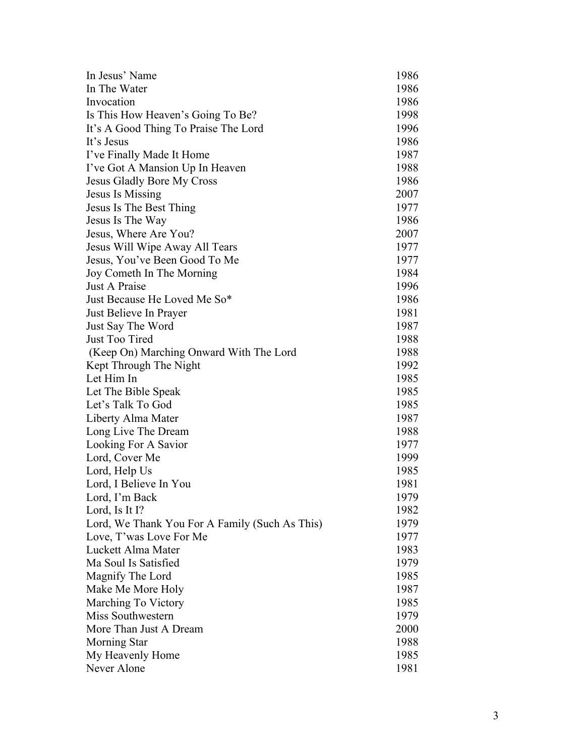| 1986<br>1986<br>Invocation<br>Is This How Heaven's Going To Be?<br>1998<br>1996<br>It's A Good Thing To Praise The Lord<br>1986<br>I've Finally Made It Home<br>1987<br>I've Got A Mansion Up In Heaven<br>1988<br><b>Jesus Gladly Bore My Cross</b><br>1986<br>2007<br>Jesus Is Missing<br>Jesus Is The Best Thing<br>1977<br>1986<br>Jesus Is The Way<br>Jesus, Where Are You?<br>2007<br>Jesus Will Wipe Away All Tears<br>1977<br>Jesus, You've Been Good To Me<br>1977<br>Joy Cometh In The Morning<br>1984<br>Just A Praise<br>1996<br>Just Because He Loved Me So*<br>1986<br>1981<br>Just Believe In Prayer<br>Just Say The Word<br>1987<br>Just Too Tired<br>1988<br>1988<br>(Keep On) Marching Onward With The Lord<br>Kept Through The Night<br>1992<br>Let Him In<br>1985<br>1985<br>Let The Bible Speak<br>Let's Talk To God<br>1985<br>Liberty Alma Mater<br>1987<br>Long Live The Dream<br>1988<br>Looking For A Savior<br>1977<br>Lord, Cover Me<br>1999<br>1985<br>Lord, Help Us<br>Lord, I Believe In You<br>1981<br>Lord, I'm Back<br>1979<br>Lord, Is It I?<br>1982<br>1979<br>Lord, We Thank You For A Family (Such As This)<br>Love, T'was Love For Me<br>1977<br>Luckett Alma Mater<br>1983<br>Ma Soul Is Satisfied<br>1979<br>Magnify The Lord<br>1985<br>Make Me More Holy<br>1987<br>Marching To Victory<br>1985<br>Miss Southwestern<br>1979<br>More Than Just A Dream<br>2000<br><b>Morning Star</b><br>1988<br>My Heavenly Home<br>1985 | In Jesus' Name | 1986 |
|----------------------------------------------------------------------------------------------------------------------------------------------------------------------------------------------------------------------------------------------------------------------------------------------------------------------------------------------------------------------------------------------------------------------------------------------------------------------------------------------------------------------------------------------------------------------------------------------------------------------------------------------------------------------------------------------------------------------------------------------------------------------------------------------------------------------------------------------------------------------------------------------------------------------------------------------------------------------------------------------------------------------------------------------------------------------------------------------------------------------------------------------------------------------------------------------------------------------------------------------------------------------------------------------------------------------------------------------------------------------------------------------------------------------------------------------------------------------|----------------|------|
|                                                                                                                                                                                                                                                                                                                                                                                                                                                                                                                                                                                                                                                                                                                                                                                                                                                                                                                                                                                                                                                                                                                                                                                                                                                                                                                                                                                                                                                                      | In The Water   |      |
|                                                                                                                                                                                                                                                                                                                                                                                                                                                                                                                                                                                                                                                                                                                                                                                                                                                                                                                                                                                                                                                                                                                                                                                                                                                                                                                                                                                                                                                                      |                |      |
|                                                                                                                                                                                                                                                                                                                                                                                                                                                                                                                                                                                                                                                                                                                                                                                                                                                                                                                                                                                                                                                                                                                                                                                                                                                                                                                                                                                                                                                                      |                |      |
|                                                                                                                                                                                                                                                                                                                                                                                                                                                                                                                                                                                                                                                                                                                                                                                                                                                                                                                                                                                                                                                                                                                                                                                                                                                                                                                                                                                                                                                                      |                |      |
|                                                                                                                                                                                                                                                                                                                                                                                                                                                                                                                                                                                                                                                                                                                                                                                                                                                                                                                                                                                                                                                                                                                                                                                                                                                                                                                                                                                                                                                                      | It's Jesus     |      |
|                                                                                                                                                                                                                                                                                                                                                                                                                                                                                                                                                                                                                                                                                                                                                                                                                                                                                                                                                                                                                                                                                                                                                                                                                                                                                                                                                                                                                                                                      |                |      |
|                                                                                                                                                                                                                                                                                                                                                                                                                                                                                                                                                                                                                                                                                                                                                                                                                                                                                                                                                                                                                                                                                                                                                                                                                                                                                                                                                                                                                                                                      |                |      |
|                                                                                                                                                                                                                                                                                                                                                                                                                                                                                                                                                                                                                                                                                                                                                                                                                                                                                                                                                                                                                                                                                                                                                                                                                                                                                                                                                                                                                                                                      |                |      |
|                                                                                                                                                                                                                                                                                                                                                                                                                                                                                                                                                                                                                                                                                                                                                                                                                                                                                                                                                                                                                                                                                                                                                                                                                                                                                                                                                                                                                                                                      |                |      |
|                                                                                                                                                                                                                                                                                                                                                                                                                                                                                                                                                                                                                                                                                                                                                                                                                                                                                                                                                                                                                                                                                                                                                                                                                                                                                                                                                                                                                                                                      |                |      |
|                                                                                                                                                                                                                                                                                                                                                                                                                                                                                                                                                                                                                                                                                                                                                                                                                                                                                                                                                                                                                                                                                                                                                                                                                                                                                                                                                                                                                                                                      |                |      |
|                                                                                                                                                                                                                                                                                                                                                                                                                                                                                                                                                                                                                                                                                                                                                                                                                                                                                                                                                                                                                                                                                                                                                                                                                                                                                                                                                                                                                                                                      |                |      |
|                                                                                                                                                                                                                                                                                                                                                                                                                                                                                                                                                                                                                                                                                                                                                                                                                                                                                                                                                                                                                                                                                                                                                                                                                                                                                                                                                                                                                                                                      |                |      |
|                                                                                                                                                                                                                                                                                                                                                                                                                                                                                                                                                                                                                                                                                                                                                                                                                                                                                                                                                                                                                                                                                                                                                                                                                                                                                                                                                                                                                                                                      |                |      |
|                                                                                                                                                                                                                                                                                                                                                                                                                                                                                                                                                                                                                                                                                                                                                                                                                                                                                                                                                                                                                                                                                                                                                                                                                                                                                                                                                                                                                                                                      |                |      |
|                                                                                                                                                                                                                                                                                                                                                                                                                                                                                                                                                                                                                                                                                                                                                                                                                                                                                                                                                                                                                                                                                                                                                                                                                                                                                                                                                                                                                                                                      |                |      |
|                                                                                                                                                                                                                                                                                                                                                                                                                                                                                                                                                                                                                                                                                                                                                                                                                                                                                                                                                                                                                                                                                                                                                                                                                                                                                                                                                                                                                                                                      |                |      |
|                                                                                                                                                                                                                                                                                                                                                                                                                                                                                                                                                                                                                                                                                                                                                                                                                                                                                                                                                                                                                                                                                                                                                                                                                                                                                                                                                                                                                                                                      |                |      |
|                                                                                                                                                                                                                                                                                                                                                                                                                                                                                                                                                                                                                                                                                                                                                                                                                                                                                                                                                                                                                                                                                                                                                                                                                                                                                                                                                                                                                                                                      |                |      |
|                                                                                                                                                                                                                                                                                                                                                                                                                                                                                                                                                                                                                                                                                                                                                                                                                                                                                                                                                                                                                                                                                                                                                                                                                                                                                                                                                                                                                                                                      |                |      |
|                                                                                                                                                                                                                                                                                                                                                                                                                                                                                                                                                                                                                                                                                                                                                                                                                                                                                                                                                                                                                                                                                                                                                                                                                                                                                                                                                                                                                                                                      |                |      |
|                                                                                                                                                                                                                                                                                                                                                                                                                                                                                                                                                                                                                                                                                                                                                                                                                                                                                                                                                                                                                                                                                                                                                                                                                                                                                                                                                                                                                                                                      |                |      |
|                                                                                                                                                                                                                                                                                                                                                                                                                                                                                                                                                                                                                                                                                                                                                                                                                                                                                                                                                                                                                                                                                                                                                                                                                                                                                                                                                                                                                                                                      |                |      |
|                                                                                                                                                                                                                                                                                                                                                                                                                                                                                                                                                                                                                                                                                                                                                                                                                                                                                                                                                                                                                                                                                                                                                                                                                                                                                                                                                                                                                                                                      |                |      |
|                                                                                                                                                                                                                                                                                                                                                                                                                                                                                                                                                                                                                                                                                                                                                                                                                                                                                                                                                                                                                                                                                                                                                                                                                                                                                                                                                                                                                                                                      |                |      |
|                                                                                                                                                                                                                                                                                                                                                                                                                                                                                                                                                                                                                                                                                                                                                                                                                                                                                                                                                                                                                                                                                                                                                                                                                                                                                                                                                                                                                                                                      |                |      |
|                                                                                                                                                                                                                                                                                                                                                                                                                                                                                                                                                                                                                                                                                                                                                                                                                                                                                                                                                                                                                                                                                                                                                                                                                                                                                                                                                                                                                                                                      |                |      |
|                                                                                                                                                                                                                                                                                                                                                                                                                                                                                                                                                                                                                                                                                                                                                                                                                                                                                                                                                                                                                                                                                                                                                                                                                                                                                                                                                                                                                                                                      |                |      |
|                                                                                                                                                                                                                                                                                                                                                                                                                                                                                                                                                                                                                                                                                                                                                                                                                                                                                                                                                                                                                                                                                                                                                                                                                                                                                                                                                                                                                                                                      |                |      |
|                                                                                                                                                                                                                                                                                                                                                                                                                                                                                                                                                                                                                                                                                                                                                                                                                                                                                                                                                                                                                                                                                                                                                                                                                                                                                                                                                                                                                                                                      |                |      |
|                                                                                                                                                                                                                                                                                                                                                                                                                                                                                                                                                                                                                                                                                                                                                                                                                                                                                                                                                                                                                                                                                                                                                                                                                                                                                                                                                                                                                                                                      |                |      |
|                                                                                                                                                                                                                                                                                                                                                                                                                                                                                                                                                                                                                                                                                                                                                                                                                                                                                                                                                                                                                                                                                                                                                                                                                                                                                                                                                                                                                                                                      |                |      |
|                                                                                                                                                                                                                                                                                                                                                                                                                                                                                                                                                                                                                                                                                                                                                                                                                                                                                                                                                                                                                                                                                                                                                                                                                                                                                                                                                                                                                                                                      |                |      |
|                                                                                                                                                                                                                                                                                                                                                                                                                                                                                                                                                                                                                                                                                                                                                                                                                                                                                                                                                                                                                                                                                                                                                                                                                                                                                                                                                                                                                                                                      |                |      |
|                                                                                                                                                                                                                                                                                                                                                                                                                                                                                                                                                                                                                                                                                                                                                                                                                                                                                                                                                                                                                                                                                                                                                                                                                                                                                                                                                                                                                                                                      |                |      |
|                                                                                                                                                                                                                                                                                                                                                                                                                                                                                                                                                                                                                                                                                                                                                                                                                                                                                                                                                                                                                                                                                                                                                                                                                                                                                                                                                                                                                                                                      |                |      |
|                                                                                                                                                                                                                                                                                                                                                                                                                                                                                                                                                                                                                                                                                                                                                                                                                                                                                                                                                                                                                                                                                                                                                                                                                                                                                                                                                                                                                                                                      |                |      |
|                                                                                                                                                                                                                                                                                                                                                                                                                                                                                                                                                                                                                                                                                                                                                                                                                                                                                                                                                                                                                                                                                                                                                                                                                                                                                                                                                                                                                                                                      |                |      |
|                                                                                                                                                                                                                                                                                                                                                                                                                                                                                                                                                                                                                                                                                                                                                                                                                                                                                                                                                                                                                                                                                                                                                                                                                                                                                                                                                                                                                                                                      |                |      |
|                                                                                                                                                                                                                                                                                                                                                                                                                                                                                                                                                                                                                                                                                                                                                                                                                                                                                                                                                                                                                                                                                                                                                                                                                                                                                                                                                                                                                                                                      |                |      |
|                                                                                                                                                                                                                                                                                                                                                                                                                                                                                                                                                                                                                                                                                                                                                                                                                                                                                                                                                                                                                                                                                                                                                                                                                                                                                                                                                                                                                                                                      |                |      |
|                                                                                                                                                                                                                                                                                                                                                                                                                                                                                                                                                                                                                                                                                                                                                                                                                                                                                                                                                                                                                                                                                                                                                                                                                                                                                                                                                                                                                                                                      |                |      |
|                                                                                                                                                                                                                                                                                                                                                                                                                                                                                                                                                                                                                                                                                                                                                                                                                                                                                                                                                                                                                                                                                                                                                                                                                                                                                                                                                                                                                                                                      |                |      |
|                                                                                                                                                                                                                                                                                                                                                                                                                                                                                                                                                                                                                                                                                                                                                                                                                                                                                                                                                                                                                                                                                                                                                                                                                                                                                                                                                                                                                                                                      |                |      |
|                                                                                                                                                                                                                                                                                                                                                                                                                                                                                                                                                                                                                                                                                                                                                                                                                                                                                                                                                                                                                                                                                                                                                                                                                                                                                                                                                                                                                                                                      | Never Alone    | 1981 |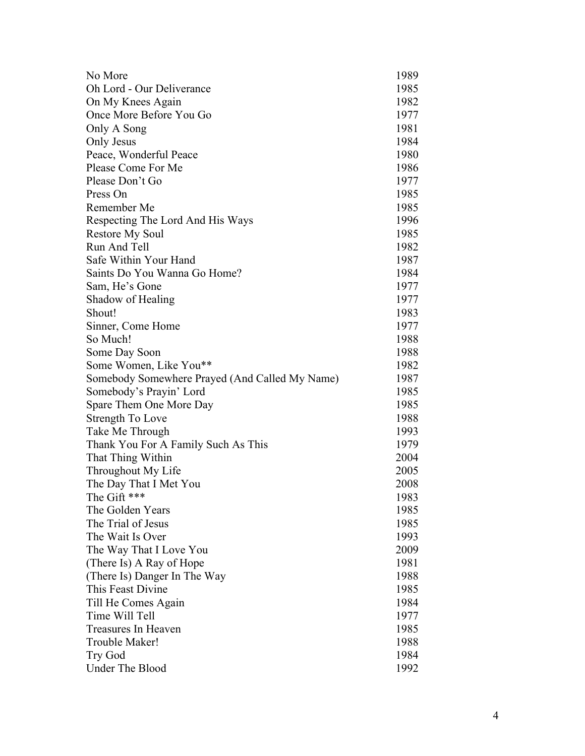| No More                                        | 1989 |
|------------------------------------------------|------|
| Oh Lord - Our Deliverance                      | 1985 |
| On My Knees Again                              | 1982 |
| Once More Before You Go                        | 1977 |
| Only A Song                                    | 1981 |
| Only Jesus                                     | 1984 |
| Peace, Wonderful Peace                         | 1980 |
| Please Come For Me                             | 1986 |
| Please Don't Go                                | 1977 |
| Press On                                       | 1985 |
| Remember Me                                    | 1985 |
| Respecting The Lord And His Ways               | 1996 |
| <b>Restore My Soul</b>                         | 1985 |
| Run And Tell                                   | 1982 |
| Safe Within Your Hand                          | 1987 |
| Saints Do You Wanna Go Home?                   | 1984 |
| Sam, He's Gone                                 | 1977 |
| Shadow of Healing                              | 1977 |
| Shout!                                         | 1983 |
| Sinner, Come Home                              | 1977 |
| So Much!                                       | 1988 |
| Some Day Soon                                  | 1988 |
| Some Women, Like You**                         | 1982 |
| Somebody Somewhere Prayed (And Called My Name) | 1987 |
| Somebody's Prayin' Lord                        | 1985 |
| Spare Them One More Day                        | 1985 |
| Strength To Love                               | 1988 |
| Take Me Through                                | 1993 |
| Thank You For A Family Such As This            | 1979 |
| That Thing Within                              | 2004 |
| Throughout My Life                             | 2005 |
| The Day That I Met You                         | 2008 |
| The Gift ***                                   | 1983 |
| The Golden Years                               | 1985 |
| The Trial of Jesus                             | 1985 |
| The Wait Is Over                               | 1993 |
| The Way That I Love You                        | 2009 |
| (There Is) A Ray of Hope                       | 1981 |
| (There Is) Danger In The Way                   | 1988 |
| This Feast Divine                              | 1985 |
| Till He Comes Again                            | 1984 |
| Time Will Tell                                 | 1977 |
| Treasures In Heaven                            | 1985 |
| Trouble Maker!                                 | 1988 |
| Try God                                        | 1984 |
| Under The Blood                                | 1992 |